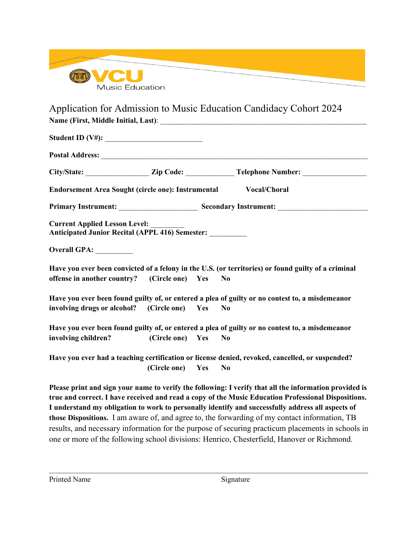| THING<br><b>Music Education</b>                                                                                                                                                                                                                                                                                                                                                                                     |              |     |                |
|---------------------------------------------------------------------------------------------------------------------------------------------------------------------------------------------------------------------------------------------------------------------------------------------------------------------------------------------------------------------------------------------------------------------|--------------|-----|----------------|
| Application for Admission to Music Education Candidacy Cohort 2024                                                                                                                                                                                                                                                                                                                                                  |              |     |                |
| Student ID (V#): $\qquad \qquad$                                                                                                                                                                                                                                                                                                                                                                                    |              |     |                |
|                                                                                                                                                                                                                                                                                                                                                                                                                     |              |     |                |
|                                                                                                                                                                                                                                                                                                                                                                                                                     |              |     |                |
| Endorsement Area Sought (circle one): Instrumental Vocal/Choral                                                                                                                                                                                                                                                                                                                                                     |              |     |                |
|                                                                                                                                                                                                                                                                                                                                                                                                                     |              |     |                |
| <b>Current Applied Lesson Level:</b><br>Anticipated Junior Recital (APPL 416) Semester:                                                                                                                                                                                                                                                                                                                             |              |     |                |
| Overall GPA:                                                                                                                                                                                                                                                                                                                                                                                                        |              |     |                |
| Have you ever been convicted of a felony in the U.S. (or territories) or found guilty of a criminal                                                                                                                                                                                                                                                                                                                 |              |     |                |
| offense in another country? (Circle one) Yes                                                                                                                                                                                                                                                                                                                                                                        |              |     | N <sub>0</sub> |
| Have you ever been found guilty of, or entered a plea of guilty or no contest to, a misdemeanor                                                                                                                                                                                                                                                                                                                     |              |     |                |
| involving drugs or alcohol? (Circle one) Yes                                                                                                                                                                                                                                                                                                                                                                        |              |     | N <sub>0</sub> |
| Have you ever been found guilty of, or entered a plea of guilty or no contest to, a misdemeanor<br>(Circle one) Yes                                                                                                                                                                                                                                                                                                 |              |     |                |
| involving children?                                                                                                                                                                                                                                                                                                                                                                                                 |              |     | N <sub>0</sub> |
| Have you ever had a teaching certification or license denied, revoked, cancelled, or suspended?                                                                                                                                                                                                                                                                                                                     |              |     |                |
|                                                                                                                                                                                                                                                                                                                                                                                                                     | (Circle one) | Yes | N <sub>0</sub> |
| Please print and sign your name to verify the following: I verify that all the information provided is<br>true and correct. I have received and read a copy of the Music Education Professional Dispositions.<br>I understand my obligation to work to personally identify and successfully address all aspects of<br>those Dispositions. I am aware of, and agree to, the forwarding of my contact information, TB |              |     |                |

Printed Name Signature

results, and necessary information for the purpose of securing practicum placements in schools in one or more of the following school divisions: Henrico, Chesterfield, Hanover or Richmond.

\_\_\_\_\_\_\_\_\_\_\_\_\_\_\_\_\_\_\_\_\_\_\_\_\_\_\_\_\_\_\_\_\_\_\_\_\_\_\_\_\_\_\_\_\_\_\_\_\_\_\_\_\_\_\_\_\_\_\_\_\_\_\_\_\_\_\_\_\_\_\_\_\_\_\_\_\_\_\_\_\_\_\_\_\_